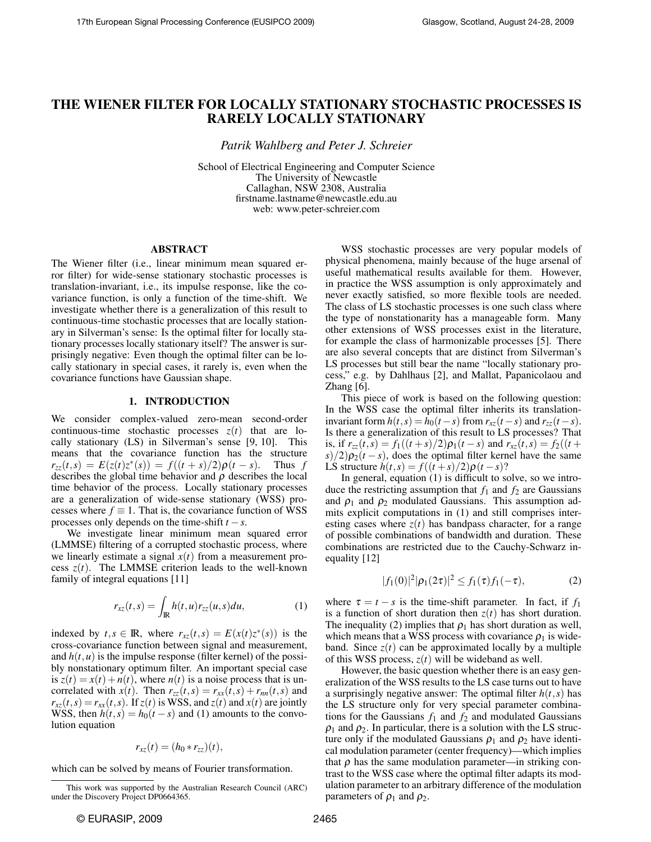# THE WIENER FILTER FOR LOCALLY STATIONARY STOCHASTIC PROCESSES IS RARELY LOCALLY STATIONARY

*Patrik Wahlberg and Peter J. Schreier*

School of Electrical Engineering and Computer Science The University of Newcastle Callaghan, NSW 2308, Australia firstname.lastname@newcastle.edu.au web: www.peter-schreier.com

#### ABSTRACT

The Wiener filter (i.e., linear minimum mean squared error filter) for wide-sense stationary stochastic processes is translation-invariant, i.e., its impulse response, like the covariance function, is only a function of the time-shift. We investigate whether there is a generalization of this result to continuous-time stochastic processes that are locally stationary in Silverman's sense: Is the optimal filter for locally stationary processes locally stationary itself? The answer is surprisingly negative: Even though the optimal filter can be locally stationary in special cases, it rarely is, even when the covariance functions have Gaussian shape.

#### 1. INTRODUCTION

We consider complex-valued zero-mean second-order continuous-time stochastic processes  $z(t)$  that are locally stationary (LS) in Silverman's sense [9, 10]. This means that the covariance function has the structure  $r_{zz}(t,s) = E(z(t)z^*(s)) = f((t+s)/2)\rho(t-s)$ . Thus *f* describes the global time behavior and  $\rho$  describes the local time behavior of the process. Locally stationary processes are a generalization of wide-sense stationary (WSS) processes where  $f \equiv 1$ . That is, the covariance function of WSS processes only depends on the time-shift  $t - s$ .

We investigate linear minimum mean squared error (LMMSE) filtering of a corrupted stochastic process, where we linearly estimate a signal  $x(t)$  from a measurement process  $z(t)$ . The LMMSE criterion leads to the well-known family of integral equations [11]

$$
r_{xz}(t,s) = \int_{\mathbb{R}} h(t,u)r_{zz}(u,s)du,
$$
 (1)

indexed by  $t, s \in \mathbb{R}$ , where  $r_{xz}(t, s) = E(x(t)z^*(s))$  is the cross-covariance function between signal and measurement, and  $h(t, u)$  is the impulse response (filter kernel) of the possibly nonstationary optimum filter. An important special case is  $z(t) = x(t) + n(t)$ , where  $n(t)$  is a noise process that is uncorrelated with  $x(t)$ . Then  $r_{zz}(t,s) = r_{xx}(t,s) + r_{nn}(t,s)$  and  $r_{xz}(t,s) = r_{xx}(t,s)$ . If  $z(t)$  is WSS, and  $z(t)$  and  $x(t)$  are jointly WSS, then  $h(t,s) = h_0(t - s)$  and (1) amounts to the convolution equation

$$
r_{xz}(t)=(h_0*r_{zz})(t),
$$

which can be solved by means of Fourier transformation.

WSS stochastic processes are very popular models of physical phenomena, mainly because of the huge arsenal of useful mathematical results available for them. However, in practice the WSS assumption is only approximately and never exactly satisfied, so more flexible tools are needed. The class of LS stochastic processes is one such class where the type of nonstationarity has a manageable form. Many other extensions of WSS processes exist in the literature, for example the class of harmonizable processes [5]. There are also several concepts that are distinct from Silverman's LS processes but still bear the name "locally stationary process," e.g. by Dahlhaus [2], and Mallat, Papanicolaou and Zhang [6].

This piece of work is based on the following question: In the WSS case the optimal filter inherits its translationinvariant form  $h(t, s) = h_0(t - s)$  from  $r_{xz}(t - s)$  and  $r_{zz}(t - s)$ . Is there a generalization of this result to LS processes? That is, if  $r_{zz}(t,s) = f_1((t+s)/2)\rho_1(t-s)$  and  $r_{xz}(t,s) = f_2((t+s)/2)\rho_2(t-s)$  $s/2$ ) $\rho_2(t-s)$ , does the optimal filter kernel have the same LS structure  $h(t,s) = f((t+s)/2)\rho(t-s)$ ?

In general, equation (1) is difficult to solve, so we introduce the restricting assumption that  $f_1$  and  $f_2$  are Gaussians and  $\rho_1$  and  $\rho_2$  modulated Gaussians. This assumption admits explicit computations in (1) and still comprises interesting cases where  $z(t)$  has bandpass character, for a range of possible combinations of bandwidth and duration. These combinations are restricted due to the Cauchy-Schwarz inequality [12]

$$
|f_1(0)|^2|\rho_1(2\tau)|^2 \le f_1(\tau)f_1(-\tau), \tag{2}
$$

where  $\tau = t - s$  is the time-shift parameter. In fact, if  $f_1$ is a function of short duration then  $z(t)$  has short duration. The inequality (2) implies that  $\rho_1$  has short duration as well, which means that a WSS process with covariance  $\rho_1$  is wideband. Since  $z(t)$  can be approximated locally by a multiple of this WSS process,  $z(t)$  will be wideband as well.

However, the basic question whether there is an easy generalization of the WSS results to the LS case turns out to have a surprisingly negative answer: The optimal filter  $h(t, s)$  has the LS structure only for very special parameter combinations for the Gaussians  $f_1$  and  $f_2$  and modulated Gaussians  $\rho_1$  and  $\rho_2$ . In particular, there is a solution with the LS structure only if the modulated Gaussians  $\rho_1$  and  $\rho_2$  have identical modulation parameter (center frequency)—which implies that  $\rho$  has the same modulation parameter—in striking contrast to the WSS case where the optimal filter adapts its modulation parameter to an arbitrary difference of the modulation parameters of  $\rho_1$  and  $\rho_2$ .

This work was supported by the Australian Research Council (ARC) under the Discovery Project DP0664365.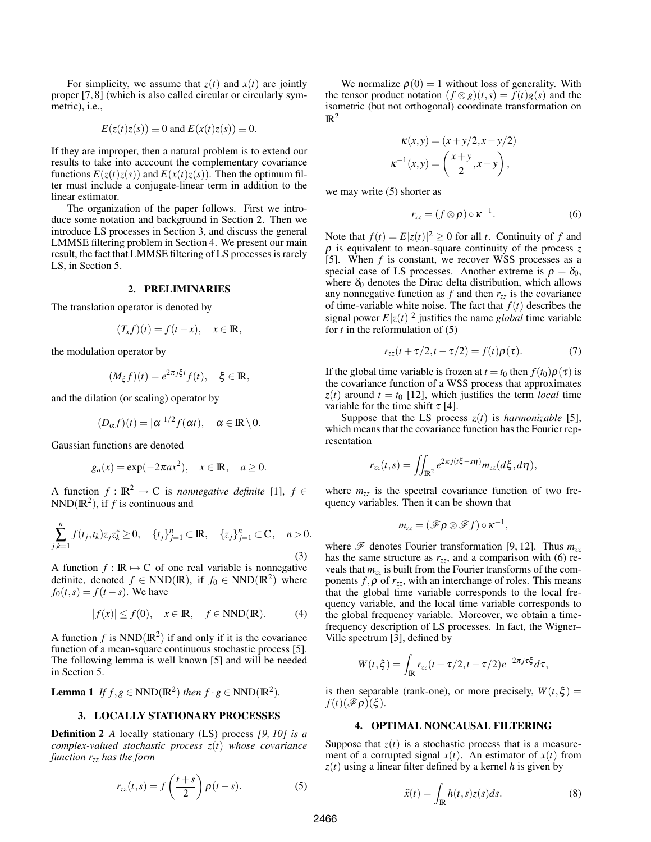For simplicity, we assume that  $z(t)$  and  $x(t)$  are jointly proper [7, 8] (which is also called circular or circularly symmetric), i.e.,

$$
E(z(t)z(s)) \equiv 0
$$
 and  $E(x(t)z(s)) \equiv 0$ .

If they are improper, then a natural problem is to extend our results to take into acccount the complementary covariance functions  $E(z(t)z(s))$  and  $E(x(t)z(s))$ . Then the optimum filter must include a conjugate-linear term in addition to the linear estimator.

The organization of the paper follows. First we introduce some notation and background in Section 2. Then we introduce LS processes in Section 3, and discuss the general LMMSE filtering problem in Section 4. We present our main result, the fact that LMMSE filtering of LS processes is rarely LS, in Section 5.

#### 2. PRELIMINARIES

The translation operator is denoted by

$$
(T_x f)(t) = f(t - x), \quad x \in \mathbb{R},
$$

the modulation operator by

$$
(M_{\xi}f)(t) = e^{2\pi j \xi t} f(t), \quad \xi \in \mathbb{R},
$$

and the dilation (or scaling) operator by

$$
(D_{\alpha}f)(t)=|\alpha|^{1/2}f(\alpha t), \quad \alpha \in \mathbb{R} \setminus 0.
$$

Gaussian functions are denoted

$$
g_a(x) = \exp(-2\pi ax^2), \quad x \in \mathbb{R}, \quad a \ge 0.
$$

A function  $f: \mathbb{R}^2 \mapsto \mathbb{C}$  is *nonnegative definite* [1],  $f \in$  $NND(\mathbb{R}^2)$ , if *f* is continuous and

$$
\sum_{j,k=1}^{n} f(t_j, t_k) z_j z_k^* \ge 0, \quad \{t_j\}_{j=1}^{n} \subset \mathbb{R}, \quad \{z_j\}_{j=1}^{n} \subset \mathbb{C}, \quad n > 0.
$$
\n(3)

A function  $f : \mathbb{R} \mapsto \mathbb{C}$  of one real variable is nonnegative definite, denoted  $f \in NND(\mathbb{R})$ , if  $f_0 \in NND(\mathbb{R}^2)$  where  $f_0(t,s) = f(t-s)$ . We have

$$
|f(x)| \le f(0), \quad x \in \mathbb{R}, \quad f \in \text{NND}(\mathbb{R}). \tag{4}
$$

A function  $f$  is  $NND(\mathbb{R}^2)$  if and only if it is the covariance function of a mean-square continuous stochastic process [5]. The following lemma is well known [5] and will be needed in Section 5.

**Lemma 1** If 
$$
f, g \in \text{NND}(\mathbb{R}^2)
$$
 then  $f \cdot g \in \text{NND}(\mathbb{R}^2)$ .

## 3. LOCALLY STATIONARY PROCESSES

Definition 2 *A* locally stationary (LS) process *[9, 10] is a complex-valued stochastic process z*(*t*) *whose covariance function rzz has the form*

$$
r_{zz}(t,s) = f\left(\frac{t+s}{2}\right)\rho(t-s).
$$
 (5)

We normalize  $\rho(0) = 1$  without loss of generality. With the tensor product notation  $(f \otimes g)(t,s) = f(t)g(s)$  and the isometric (but not orthogonal) coordinate transformation on  $\mathbb{R}^2$ 

$$
\kappa(x,y) = (x+y/2, x-y/2)
$$

$$
\kappa^{-1}(x,y) = \left(\frac{x+y}{2}, x-y\right),
$$

we may write (5) shorter as

$$
r_{zz} = (f \otimes \rho) \circ \kappa^{-1}.
$$
 (6)

Note that  $f(t) = E|z(t)|^2 \ge 0$  for all *t*. Continuity of *f* and ρ is equivalent to mean-square continuity of the process *z* [5]. When *f* is constant, we recover WSS processes as a special case of LS processes. Another extreme is  $\rho = \delta_0$ , where  $\delta_0$  denotes the Dirac delta distribution, which allows any nonnegative function as  $f$  and then  $r_{zz}$  is the covariance of time-variable white noise. The fact that  $f(t)$  describes the signal power  $E|z(t)|^2$  justifies the name *global* time variable for *t* in the reformulation of (5)

$$
r_{zz}(t+\tau/2,t-\tau/2)=f(t)\rho(\tau). \qquad (7)
$$

If the global time variable is frozen at  $t = t_0$  then  $f(t_0)\rho(\tau)$  is the covariance function of a WSS process that approximates  $z(t)$  around  $t = t_0$  [12], which justifies the term *local* time variable for the time shift  $\tau$  [4].

Suppose that the LS process  $z(t)$  is *harmonizable* [5], which means that the covariance function has the Fourier representation

$$
r_{zz}(t,s) = \iint_{\mathbb{R}^2} e^{2\pi j(t\xi - s\eta)} m_{zz}(d\xi, d\eta),
$$

where  $m_{zz}$  is the spectral covariance function of two frequency variables. Then it can be shown that

$$
m_{zz}=(\mathscr{F}\rho\otimes\mathscr{F}f)\circ\kappa^{-1},
$$

where  $\mathscr F$  denotes Fourier transformation [9, 12]. Thus  $m_{77}$ has the same structure as  $r_{zz}$ , and a comparison with (6) reveals that  $m_{zz}$  is built from the Fourier transforms of the components  $f, \rho$  of  $r_{zz}$ , with an interchange of roles. This means that the global time variable corresponds to the local frequency variable, and the local time variable corresponds to the global frequency variable. Moreover, we obtain a timefrequency description of LS processes. In fact, the Wigner– Ville spectrum [3], defined by

$$
W(t,\xi) = \int_{\mathbb{R}} r_{zz}(t+\tau/2,t-\tau/2)e^{-2\pi j\tau\xi}d\tau,
$$

is then separable (rank-one), or more precisely,  $W(t, \xi)$  =  $f(t)(\mathscr{F}\rho)(\xi)$ .

#### 4. OPTIMAL NONCAUSAL FILTERING

Suppose that  $z(t)$  is a stochastic process that is a measurement of a corrupted signal  $x(t)$ . An estimator of  $x(t)$  from  $z(t)$  using a linear filter defined by a kernel *h* is given by

$$
\widehat{x}(t) = \int_{\mathbb{R}} h(t,s)z(s)ds.
$$
 (8)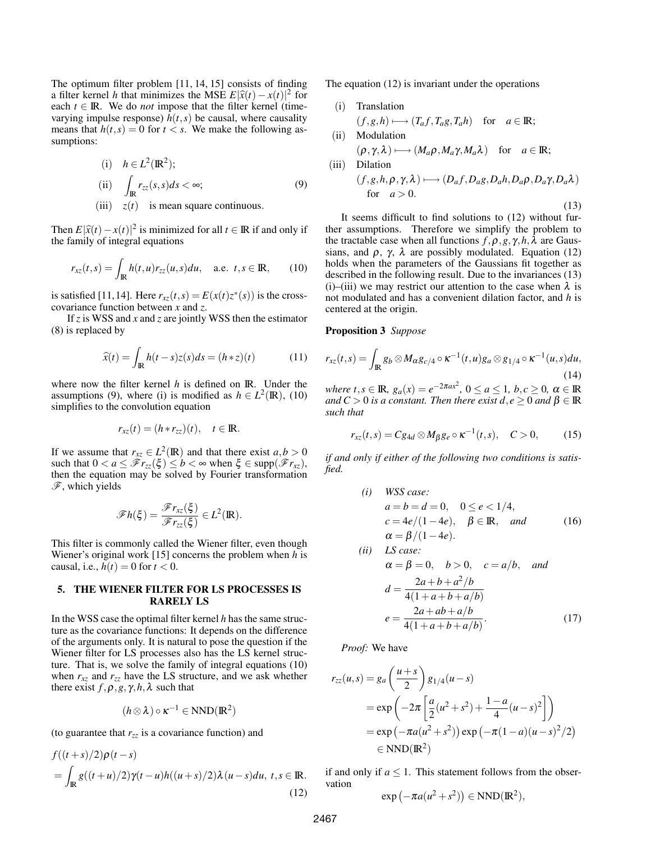The optimum filter problem [11, 14, 15] consists of finding a filter kernel *h* that minimizes the MSE  $E|\hat{x}(t) - x(t)|^2$  for each  $t \in \mathbb{R}$ . We do *not* impose that the filter kernel (timeeach  $t \in \mathbb{R}$ . We do *not* impose that the filter kernel (timevarying impulse response)  $h(t, s)$  be causal, where causality means that  $h(t, s) = 0$  for  $t < s$ . We make the following assumptions:

(i) 
$$
h \in L^2(\mathbb{R}^2);
$$
  
\n(ii)  $\int_{\mathbb{R}} r_{zz}(s, s) ds < \infty;$  (9)  
\n(iii)  $z(t)$  is mean square continuous.

Then  $E|\hat{x}(t) - x(t)|^2$  is minimized for all  $t \in \mathbb{R}$  if and only if the family of integral equations the family of integral equations

$$
r_{xz}(t,s) = \int_{\mathbb{R}} h(t,u)r_{zz}(u,s)du, \quad \text{a.e. } t,s \in \mathbb{R}, \qquad (10)
$$

is satisfied [11,14]. Here  $r_{xz}(t,s) = E(x(t)z^*(s))$  is the crosscovariance function between *x* and *z*.

If *z* is WSS and *x* and *z* are jointly WSS then the estimator (8) is replaced by

$$
\widehat{x}(t) = \int_{\mathbb{R}} h(t-s)z(s)ds = (h * z)(t)
$$
 (11)

where now the filter kernel *h* is defined on IR. Under the assumptions (9), where (i) is modified as  $h \in L^2(\mathbb{R})$ , (10) simplifies to the convolution equation

$$
r_{xz}(t) = (h * r_{zz})(t), \quad t \in \mathbb{R}.
$$

If we assume that  $r_{xz} \in L^2(\mathbb{R})$  and that there exist  $a, b > 0$ such that  $0 < a \leq \mathscr{F}r_{zz}(\xi) \leq b < \infty$  when  $\xi \in \text{supp}(\mathscr{F}r_{xz})$ , then the equation may be solved by Fourier transformation  $\mathscr{F}$ , which yields

$$
\mathscr{F}h(\xi)=\frac{\mathscr{F}r_{xz}(\xi)}{\mathscr{F}r_{zz}(\xi)}\in L^2(\mathbb{R}).
$$

This filter is commonly called the Wiener filter, even though Wiener's original work [15] concerns the problem when *h* is causal, i.e.,  $h(t) = 0$  for  $t < 0$ .

## 5. THE WIENER FILTER FOR LS PROCESSES IS RARELY LS

In the WSS case the optimal filter kernel *h* has the same structure as the covariance functions: It depends on the difference of the arguments only. It is natural to pose the question if the Wiener filter for LS processes also has the LS kernel structure. That is, we solve the family of integral equations (10) when  $r_{xz}$  and  $r_{zz}$  have the LS structure, and we ask whether there exist  $f, \rho, g, \gamma, h, \lambda$  such that

$$
(\mathit{h}\otimes\lambda)\circ\kappa^{-1}\in NND(\mathbb{R}^2)
$$

(to guarantee that  $r_{77}$  is a covariance function) and

$$
f((t+s)/2)\rho(t-s)
$$
  
= 
$$
\int_{\mathbb{R}} g((t+u)/2)\gamma(t-u)h((u+s)/2)\lambda(u-s)du, t, s \in \mathbb{R}.
$$
 (12)

The equation (12) is invariant under the operations

\n- (i) Translation
\n- $$
(f, g, h) \longmapsto (T_a f, T_a g, T_a h)
$$
 for  $a \in \mathbb{R}$ ;
\n- (ii) Modulation
\n

$$
\begin{aligned} (\rho, \gamma, \lambda) &\longmapsto (M_a \rho, M_a \gamma, M_a \lambda) \quad \text{for} \quad a \in \mathbb{R};\\ (\text{iii}) \quad &\text{Dilation} \\ (f, g, h, \rho, \gamma, \lambda) &\longmapsto (D_a f, D_a g, D_a h, D_a \rho, D_a \gamma, D_a \lambda) \\ \text{for} \quad &a > 0. \end{aligned}
$$

(13)

It seems difficult to find solutions to (12) without further assumptions. Therefore we simplify the problem to the tractable case when all functions  $f, \rho, g, \gamma, h, \lambda$  are Gaussians, and  $\rho$ ,  $\gamma$ ,  $\lambda$  are possibly modulated. Equation (12) holds when the parameters of the Gaussians fit together as described in the following result. Due to the invariances (13) (i)–(iii) we may restrict our attention to the case when  $\lambda$  is not modulated and has a convenient dilation factor, and *h* is centered at the origin.

#### Proposition 3 *Suppose*

$$
r_{xz}(t,s) = \int_{\mathbb{R}} g_b \otimes M_{\alpha} g_{c/4} \circ \kappa^{-1}(t,u) g_a \otimes g_{1/4} \circ \kappa^{-1}(u,s) du,
$$
\n(14)

*where t*,  $s \in \mathbb{R}$ *,*  $g_a(x) = e^{-2\pi ax^2}$ ,  $0 \le a \le 1$ *, b, c*  $\ge 0$ *,*  $\alpha \in \mathbb{R}$ *and*  $C > 0$  *is a constant. Then there exist d,e*  $\geq 0$  *and*  $\beta \in \mathbb{R}$ *such that*

$$
r_{xz}(t,s) = Cg_{4d} \otimes M_{\beta}g_e \circ \kappa^{-1}(t,s), \quad C > 0, \tag{15}
$$

*if and only if either of the following two conditions is satisfied.*

(i) WSS case:  
\n
$$
a = b = d = 0, \quad 0 \le e < 1/4,
$$
  
\n $c = 4e/(1-4e), \quad \beta \in \mathbb{R}, \quad and$   
\n $\alpha = \beta/(1-4e).$  (16)

(ii) LS case:  
\n
$$
\alpha = \beta = 0, \quad b > 0, \quad c = a/b, \quad and
$$
\n
$$
d = \frac{2a + b + a^2/b}{4(1 + a + b + a/b)}
$$
\n
$$
e = \frac{2a + ab + a/b}{4(1 + a + b + a/b)}.
$$
\n(17)

*Proof:* We have

$$
r_{zz}(u,s) = g_a \left(\frac{u+s}{2}\right) g_{1/4}(u-s)
$$
  
=  $\exp\left(-2\pi \left[\frac{a}{2}(u^2+s^2) + \frac{1-a}{4}(u-s)^2\right]\right)$   
=  $\exp\left(-\pi a(u^2+s^2)\right) \exp\left(-\pi (1-a)(u-s)^2/2\right)$   
 $\in \text{NND}(\mathbb{R}^2)$ 

if and only if  $a \leq 1$ . This statement follows from the observation

$$
\exp(-\pi a(u^2+s^2)) \in NND(\mathbb{R}^2),
$$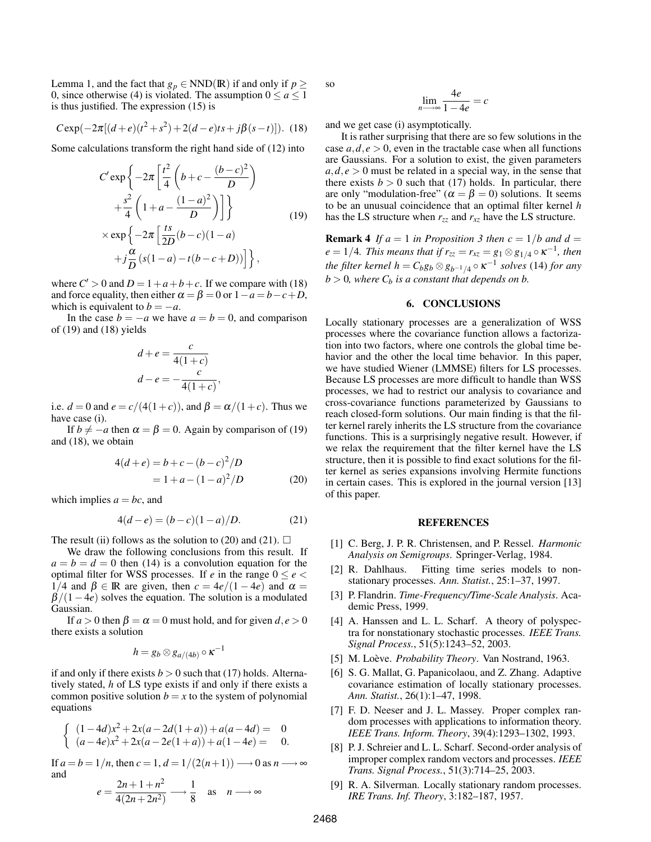Lemma 1, and the fact that  $g_p \in NND(\mathbb{R})$  if and only if  $p \geq$ 0, since otherwise (4) is violated. The assumption  $0 \le a \le 1$ is thus justified. The expression (15) is

$$
C \exp(-2\pi[(d+e)(t^2+s^2)+2(d-e)ts+j\beta(s-t)]
$$
. (18)

Some calculations transform the right hand side of (12) into

$$
C' \exp \left\{-2\pi \left[\frac{t^2}{4}\left(b+c-\frac{(b-c)^2}{D}\right) + \frac{s^2}{4}\left(1+a-\frac{(1-a)^2}{D}\right)\right]\right\}
$$
  
 
$$
\times \exp \left\{-2\pi \left[\frac{ts}{2D}(b-c)(1-a) + j\frac{\alpha}{D}(s(1-a)-t(b-c+D))\right]\right\},\right\}
$$
(19)

where  $C' > 0$  and  $D = 1 + a + b + c$ . If we compare with (18) and force equality, then either  $\alpha = \beta = 0$  or  $1 - a = b - c + D$ , which is equivalent to  $b = -a$ .

In the case  $b = -a$  we have  $a = b = 0$ , and comparison of (19) and (18) yields

$$
d+e = \frac{c}{4(1+c)}
$$

$$
d-e = -\frac{c}{4(1+c)},
$$

i.e.  $d = 0$  and  $e = c/(4(1+c))$ , and  $\beta = \alpha/(1+c)$ . Thus we have case (i).

If  $b \neq -a$  then  $\alpha = \beta = 0$ . Again by comparison of (19) and (18), we obtain

$$
4(d+e) = b + c - (b - c)2/D
$$
  
= 1 + a - (1 - a)<sup>2</sup>/D (20)

which implies  $a = bc$ , and

$$
4(d-e) = (b-c)(1-a)/D.
$$
 (21)

The result (ii) follows as the solution to (20) and (21).  $\Box$ 

We draw the following conclusions from this result. If  $a = b = d = 0$  then (14) is a convolution equation for the optimal filter for WSS processes. If *e* in the range  $0 \le e$ 1/4 and β ∈ IR are given, then  $c = 4e/(1-4e)$  and  $α =$  $\beta/(1-4e)$  solves the equation. The solution is a modulated Gaussian.

If  $a > 0$  then  $\beta = \alpha = 0$  must hold, and for given  $d, e > 0$ there exists a solution

$$
h = g_b \otimes g_{a/(4b)} \circ \kappa^{-1}
$$

if and only if there exists  $b > 0$  such that (17) holds. Alternatively stated, *h* of LS type exists if and only if there exists a common positive solution  $b = x$  to the system of polynomial equations

$$
\begin{cases} (1-4d)x^2 + 2x(a-2d(1+a)) + a(a-4d) = 0\\ (a-4e)x^2 + 2x(a-2e(1+a)) + a(1-4e) = 0. \end{cases}
$$

If  $a = b = 1/n$ , then  $c = 1$ ,  $d = 1/(2(n+1)) \rightarrow 0$  as  $n \rightarrow \infty$ and

$$
e = \frac{2n+1+n^2}{4(2n+2n^2)} \longrightarrow \frac{1}{8} \text{ as } n \longrightarrow \infty
$$

so

$$
\lim_{n \to \infty} \frac{4e}{1 - 4e} = c
$$

and we get case (i) asymptotically.

It is rather surprising that there are so few solutions in the case  $a, d, e > 0$ , even in the tractable case when all functions are Gaussians. For a solution to exist, the given parameters  $a, d, e > 0$  must be related in a special way, in the sense that there exists  $b > 0$  such that (17) holds. In particular, there are only "modulation-free" ( $\alpha = \beta = 0$ ) solutions. It seems to be an unusual coincidence that an optimal filter kernel *h* has the LS structure when  $r_{zz}$  and  $r_{xz}$  have the LS structure.

**Remark 4** *If*  $a = 1$  *in Proposition 3 then*  $c = 1/b$  *and*  $d =$  $e = 1/4$ *. This means that if*  $r_{zz} = r_{xz} = g_1 \otimes g_{1/4} \circ \kappa^{-1}$ *, then the filter kernel h* =  $C_b g_b \otimes g_{b^{-1}/4} \circ \kappa^{-1}$  *solves* (14) *for any*  $b > 0$ , where  $C_b$  *is a constant that depends on b.* 

## 6. CONCLUSIONS

Locally stationary processes are a generalization of WSS processes where the covariance function allows a factorization into two factors, where one controls the global time behavior and the other the local time behavior. In this paper, we have studied Wiener (LMMSE) filters for LS processes. Because LS processes are more difficult to handle than WSS processes, we had to restrict our analysis to covariance and cross-covariance functions parameterized by Gaussians to reach closed-form solutions. Our main finding is that the filter kernel rarely inherits the LS structure from the covariance functions. This is a surprisingly negative result. However, if we relax the requirement that the filter kernel have the LS structure, then it is possible to find exact solutions for the filter kernel as series expansions involving Hermite functions in certain cases. This is explored in the journal version [13] of this paper.

### REFERENCES

- [1] C. Berg, J. P. R. Christensen, and P. Ressel. *Harmonic Analysis on Semigroups*. Springer-Verlag, 1984.
- [2] R. Dahlhaus. Fitting time series models to nonstationary processes. *Ann. Statist.*, 25:1–37, 1997.
- [3] P. Flandrin. *Time-Frequency/Time-Scale Analysis*. Academic Press, 1999.
- [4] A. Hanssen and L. L. Scharf. A theory of polyspectra for nonstationary stochastic processes. *IEEE Trans. Signal Process.*, 51(5):1243–52, 2003.
- [5] M. Loève. *Probability Theory*. Van Nostrand, 1963.
- [6] S. G. Mallat, G. Papanicolaou, and Z. Zhang. Adaptive covariance estimation of locally stationary processes. *Ann. Statist.*, 26(1):1–47, 1998.
- [7] F. D. Neeser and J. L. Massey. Proper complex random processes with applications to information theory. *IEEE Trans. Inform. Theory*, 39(4):1293–1302, 1993.
- [8] P. J. Schreier and L. L. Scharf. Second-order analysis of improper complex random vectors and processes. *IEEE Trans. Signal Process.*, 51(3):714–25, 2003.
- [9] R. A. Silverman. Locally stationary random processes. *IRE Trans. Inf. Theory*, 3:182–187, 1957.